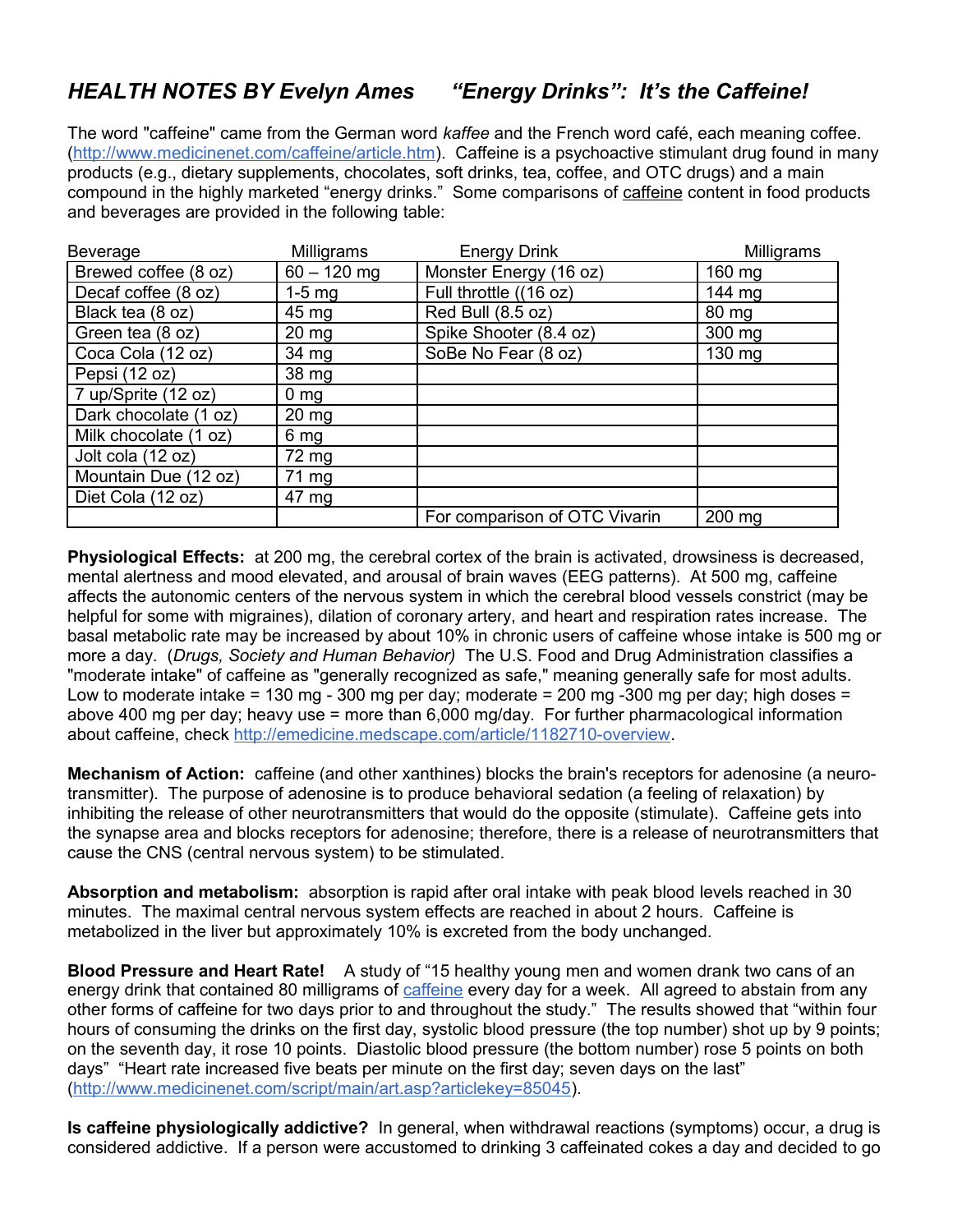## *HEALTH NOTES BY Evelyn Ames "Energy Drinks": It's the Caffeine!*

The word "caffeine" came from the German word *kaffee* and the French word café, each meaning coffee. [\(http://www.medicinenet.com/caffeine/article.htm\)](http://www.medicinenet.com/caffeine/article.htm). Caffeine is a psychoactive stimulant drug found in many products (e.g., dietary supplements, chocolates, soft drinks, tea, coffee, and OTC drugs) and a main compound in the highly marketed "energy drinks." Some comparisons of caffeine content in food products and beverages are provided in the following table:

| Beverage              | Milligrams      | <b>Energy Drink</b>           | Milligrams |
|-----------------------|-----------------|-------------------------------|------------|
| Brewed coffee (8 oz)  | $60 - 120$ mg   | Monster Energy (16 oz)        | 160 mg     |
| Decaf coffee (8 oz)   | $1-5$ mg        | Full throttle ((16 oz)        | 144 mg     |
| Black tea (8 oz)      | 45 mg           | Red Bull (8.5 oz)             | 80 mg      |
| Green tea (8 oz)      | 20 mg           | Spike Shooter (8.4 oz)        | $300$ mg   |
| Coca Cola (12 oz)     | 34 mg           | SoBe No Fear (8 oz)           | 130 mg     |
| Pepsi (12 oz)         | 38 mg           |                               |            |
| 7 up/Sprite (12 oz)   | 0 <sub>mg</sub> |                               |            |
| Dark chocolate (1 oz) | $20 \, mg$      |                               |            |
| Milk chocolate (1 oz) | 6 mg            |                               |            |
| Jolt cola (12 oz)     | 72 mg           |                               |            |
| Mountain Due (12 oz)  | 71 mg           |                               |            |
| Diet Cola (12 oz)     | 47 mg           |                               |            |
|                       |                 | For comparison of OTC Vivarin | 200 mg     |

**Physiological Effects:** at 200 mg, the cerebral cortex of the brain is activated, drowsiness is decreased, mental alertness and mood elevated, and arousal of brain waves (EEG patterns). At 500 mg, caffeine affects the autonomic centers of the nervous system in which the cerebral blood vessels constrict (may be helpful for some with migraines), dilation of coronary artery, and heart and respiration rates increase. The basal metabolic rate may be increased by about 10% in chronic users of caffeine whose intake is 500 mg or more a day. (*Drugs, Society and Human Behavior)* The U.S. Food and Drug Administration classifies a "moderate intake" of caffeine as "generally recognized as safe," meaning generally safe for most adults. Low to moderate intake = 130 mg - 300 mg per day; moderate = 200 mg -300 mg per day; high doses = above 400 mg per day; heavy use = more than 6,000 mg/day. For further pharmacological information about caffeine, check [http://emedicine.medscape.com/article/1182710-overview.](http://emedicine.medscape.com/article/1182710-overview)

**Mechanism of Action:** caffeine (and other xanthines) blocks the brain's receptors for adenosine (a neurotransmitter). The purpose of adenosine is to produce behavioral sedation (a feeling of relaxation) by inhibiting the release of other neurotransmitters that would do the opposite (stimulate). Caffeine gets into the synapse area and blocks receptors for adenosine; therefore, there is a release of neurotransmitters that cause the CNS (central nervous system) to be stimulated.

**Absorption and metabolism:** absorption is rapid after oral intake with peak blood levels reached in 30 minutes. The maximal central nervous system effects are reached in about 2 hours. Caffeine is metabolized in the liver but approximately 10% is excreted from the body unchanged.

**Blood Pressure and Heart Rate!** A study of "15 healthy young men and women drank two cans of an energy drink that contained 80 milligrams of [caffeine](http://www.medicinenet.com/script/main/art.asp?articlekey=82141) every day for a week. All agreed to abstain from any other forms of caffeine for two days prior to and throughout the study." The results showed that "within four hours of consuming the drinks on the first day, systolic blood pressure (the top number) shot up by 9 points; on the seventh day, it rose 10 points. Diastolic blood pressure (the bottom number) rose 5 points on both days" "Heart rate increased five beats per minute on the first day; seven days on the last" [\(http://www.medicinenet.com/script/main/art.asp?articlekey=85045\)](http://www.medicinenet.com/script/main/art.asp?articlekey=85045).

**Is caffeine physiologically addictive?** In general, when withdrawal reactions (symptoms) occur, a drug is considered addictive. If a person were accustomed to drinking 3 caffeinated cokes a day and decided to go